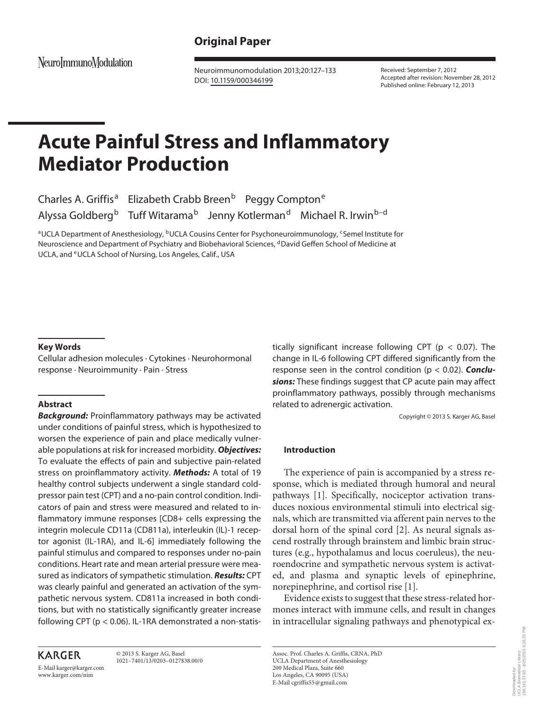# **Original Paper**

NeuroImmunoModulation

 Neuroimmunomodulation 2013;20:127–133 DOI: [10.1159/000346199](http://dx.doi.org/10.1159%2F000346199)

 Received: September 7, 2012 Accepted after revision: November 28, 2012 Published online: February 12, 2013

# **Acute Painful Stress and Inflammatory Mediator Production**

 Charles A. Griffis a Elizabeth Crabb Breen<sup>b</sup> Peggy Compton<sup>e</sup> Alyssa Goldberg<sup>b</sup> Tuff Witarama<sup>b</sup> Jenny Kotlerman<sup>d</sup> Michael R. Irwin<sup>b-d</sup>

<sup>a</sup> UCLA Department of Anesthesiology, <sup>b</sup> UCLA Cousins Center for Psychoneuroimmunology, <sup>c</sup> Semel Institute for Neuroscience and Department of Psychiatry and Biobehavioral Sciences, <sup>d</sup> David Geffen School of Medicine at UCLA, and <sup>e</sup> UCLA School of Nursing, Los Angeles, Calif., USA

#### **Key Words**

 Cellular adhesion molecules · Cytokines · Neurohormonal response · Neuroimmunity · Pain · Stress

## **Abstract**

*Background:* Proinflammatory pathways may be activated under conditions of painful stress, which is hypothesized to worsen the experience of pain and place medically vulnerable populations at risk for increased morbidity. *Objectives:* To evaluate the effects of pain and subjective pain-related stress on proinflammatory activity. *Methods:* A total of 19 healthy control subjects underwent a single standard coldpressor pain test (CPT) and a no-pain control condition. Indicators of pain and stress were measured and related to inflammatory immune responses [CD8+ cells expressing the integrin molecule CD11a (CD811a), interleukin (IL)-1 receptor agonist (IL-1RA), and IL-6] immediately following the painful stimulus and compared to responses under no-pain conditions. Heart rate and mean arterial pressure were measured as indicators of sympathetic stimulation. *Results:* CPT was clearly painful and generated an activation of the sympathetic nervous system. CD811a increased in both conditions, but with no statistically significantly greater increase following CPT (p < 0.06). IL-1RA demonstrated a non-statis-

## **KARGER**

E-Mail karger@karger.com www.karger.com/nim

 © 2013 S. Karger AG, Basel 1021–7401/13/0203–0127\$38.00/0 tically significant increase following CPT ( $p < 0.07$ ). The change in IL-6 following CPT differed significantly from the response seen in the control condition (p < 0.02). *Conclusions:* These findings suggest that CP acute pain may affect proinflammatory pathways, possibly through mechanisms related to adrenergic activation.

Copyright © 2013 S. Karger AG, Basel

## **Introduction**

 The experience of pain is accompanied by a stress response, which is mediated through humoral and neural pathways [1]. Specifically, nociceptor activation transduces noxious environmental stimuli into electrical signals, which are transmitted via afferent pain nerves to the dorsal horn of the spinal cord [2]. As neural signals ascend rostrally through brainstem and limbic brain structures (e.g., hypothalamus and locus coeruleus), the neuroendocrine and sympathetic nervous system is activated, and plasma and synaptic levels of epinephrine, norepinephrine, and cortisol rise [1] .

 Evidence exists to suggest that these stress-related hormones interact with immune cells, and result in changes in intracellular signaling pathways and phenotypical ex-

 Assoc. Prof. Charles A. Griffis, CRNA, PhD UCLA Department of Anesthesiology 200 Medical Plaza, Suite 660 Los Angeles, CA 90095 (USA) E-Mail cgriffis55 @ gmail.com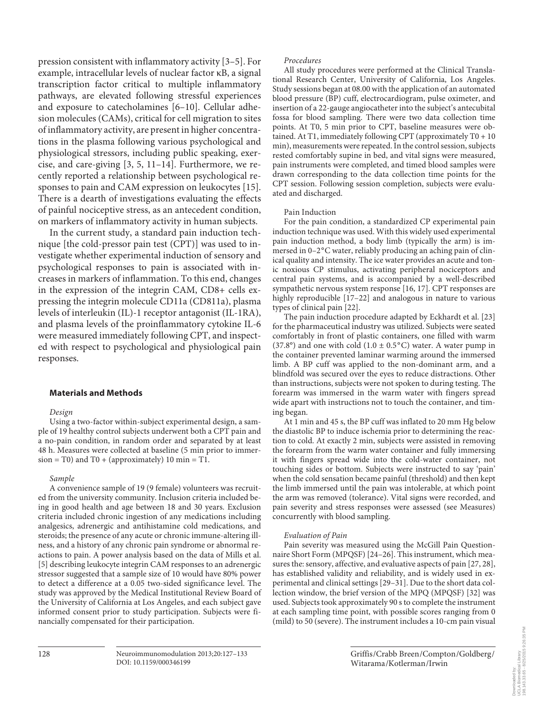pression consistent with inflammatory activity [3–5] . For example, intracellular levels of nuclear factor κB, a signal transcription factor critical to multiple inflammatory pathways, are elevated following stressful experiences and exposure to catecholamines [6-10]. Cellular adhesion molecules (CAMs), critical for cell migration to sites of inflammatory activity, are present in higher concentrations in the plasma following various psychological and physiological stressors, including public speaking, exercise, and care-giving  $[3, 5, 11-14]$ . Furthermore, we recently reported a relationship between psychological responses to pain and CAM expression on leukocytes [15] . There is a dearth of investigations evaluating the effects of painful nociceptive stress, as an antecedent condition, on markers of inflammatory activity in human subjects.

 In the current study, a standard pain induction technique [the cold-pressor pain test (CPT)] was used to investigate whether experimental induction of sensory and psychological responses to pain is associated with increases in markers of inflammation. To this end, changes in the expression of the integrin CAM, CD8+ cells expressing the integrin molecule CD11a (CD811a), plasma levels of interleukin (IL)-1 receptor antagonist (IL-1RA), and plasma levels of the proinflammatory cytokine IL-6 were measured immediately following CPT, and inspected with respect to psychological and physiological pain responses.

## **Materials and Methods**

#### *Design*

#### Using a two-factor within-subject experimental design, a sample of 19 healthy control subjects underwent both a CPT pain and a no-pain condition, in random order and separated by at least 48 h. Measures were collected at baseline (5 min prior to immer $sion = T0$ ) and  $T0 + (approximately) 10 min = T1$ .

#### *Sample*

 A convenience sample of 19 (9 female) volunteers was recruited from the university community. Inclusion criteria included being in good health and age between 18 and 30 years. Exclusion criteria included chronic ingestion of any medications including analgesics, adrenergic and antihistamine cold medications, and steroids; the presence of any acute or chronic immune-altering illness, and a history of any chronic pain syndrome or abnormal reactions to pain. A power analysis based on the data of Mills et al. [5] describing leukocyte integrin CAM responses to an adrenergic stressor suggested that a sample size of 10 would have 80% power to detect a difference at a 0.05 two-sided significance level. The study was approved by the Medical Institutional Review Board of the University of California at Los Angeles, and each subject gave informed consent prior to study participation. Subjects were financially compensated for their participation.

DOI: 10.1159/000346199

#### *Procedures*

 All study procedures were performed at the Clinical Translational Research Center, University of California, Los Angeles. Study sessions began at 08.00 with the application of an automated blood pressure (BP) cuff, electrocardiogram, pulse oximeter, and insertion of a 22-gauge angiocatheter into the subject's antecubital fossa for blood sampling. There were two data collection time points. At T0, 5 min prior to CPT, baseline measures were obtained. At T1, immediately following CPT (approximately T0 + 10 min), measurements were repeated. In the control session, subjects rested comfortably supine in bed, and vital signs were measured, pain instruments were completed, and timed blood samples were drawn corresponding to the data collection time points for the CPT session. Following session completion, subjects were evaluated and discharged.

#### Pain Induction

 For the pain condition, a standardized CP experimental pain induction technique was used. With this widely used experimental pain induction method, a body limb (typically the arm) is immersed in 0–2°C water, reliably producing an aching pain of clinical quality and intensity. The ice water provides an acute and tonic noxious CP stimulus, activating peripheral nociceptors and central pain systems, and is accompanied by a well-described sympathetic nervous system response [16, 17] . CPT responses are highly reproducible [17–22] and analogous in nature to various types of clinical pain [22] .

 The pain induction procedure adapted by Eckhardt et al. [23] for the pharmaceutical industry was utilized. Subjects were seated comfortably in front of plastic containers, one filled with warm  $(37.8°)$  and one with cold  $(1.0 \pm 0.5°)$  water. A water pump in the container prevented laminar warming around the immersed limb. A BP cuff was applied to the non-dominant arm, and a blindfold was secured over the eyes to reduce distractions. Other than instructions, subjects were not spoken to during testing. The forearm was immersed in the warm water with fingers spread wide apart with instructions not to touch the container, and timing began.

 At 1 min and 45 s, the BP cuff was inflated to 20 mm Hg below the diastolic BP to induce ischemia prior to determining the reaction to cold. At exactly 2 min, subjects were assisted in removing the forearm from the warm water container and fully immersing it with fingers spread wide into the cold-water container, not touching sides or bottom. Subjects were instructed to say 'pain' when the cold sensation became painful (threshold) and then kept the limb immersed until the pain was intolerable, at which point the arm was removed (tolerance). Vital signs were recorded, and pain severity and stress responses were assessed (see Measures) concurrently with blood sampling.

#### *Evaluation of Pain*

 Pain severity was measured using the McGill Pain Questionnaire Short Form (MPQSF) [24–26] . This instrument, which measures the: sensory, affective, and evaluative aspects of pain [27, 28], has established validity and reliability, and is widely used in experimental and clinical settings [29–31] . Due to the short data collection window, the brief version of the MPQ (MPQSF) [32] was used. Subjects took approximately 90 s to complete the instrument at each sampling time point, with possible scores ranging from 0 (mild) to 50 (severe). The instrument includes a 10-cm pain visual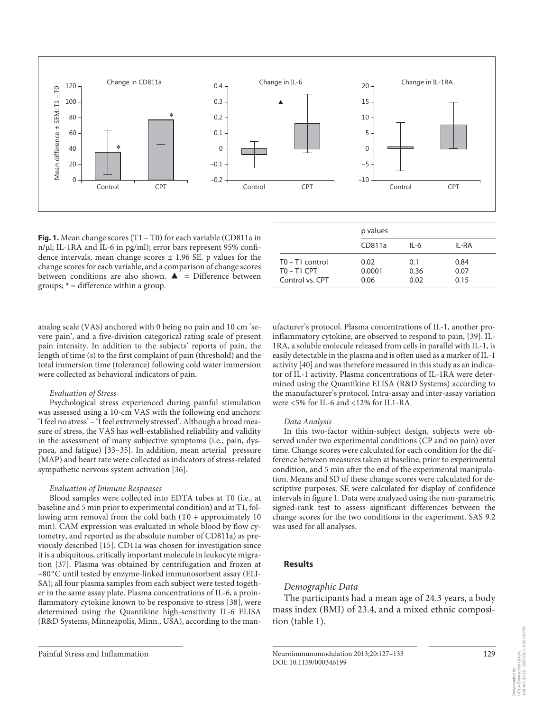

**Fig. 1.** Mean change scores (T1 – T0) for each variable (CD811a in n/μl; IL-1RA and IL-6 in pg/ml); error bars represent 95% confidence intervals, mean change scores ± 1.96 SE. p values for the change scores for each variable, and a comparison of change scores between conditions are also shown.  $\blacktriangle$  = Difference between groups;  $* =$  difference within a group.

|                                                       | p values               |                     |                      |  |
|-------------------------------------------------------|------------------------|---------------------|----------------------|--|
|                                                       | CD811a                 | $II - 6$            | IL-RA                |  |
| $T0 - T1$ control<br>$TO - T1$ CPT<br>Control vs. CPT | 0.02<br>0.0001<br>0.06 | 0.1<br>0.36<br>0.02 | 0.84<br>0.07<br>0.15 |  |

analog scale (VAS) anchored with 0 being no pain and 10 cm 'severe pain', and a five-division categorical rating scale of present pain intensity. In addition to the subjects' reports of pain, the length of time (s) to the first complaint of pain (threshold) and the total immersion time (tolerance) following cold water immersion were collected as behavioral indicators of pain.

#### *Evaluation of Stress*

 Psychological stress experienced during painful stimulation was assessed using a 10-cm VAS with the following end anchors: 'I feel no stress' – 'I feel extremely stressed'. Although a broad measure of stress, the VAS has well-established reliability and validity in the assessment of many subjective symptoms (i.e., pain, dyspnea, and fatigue) [33–35] . In addition, mean arterial pressure (MAP) and heart rate were collected as indicators of stress-related sympathetic nervous system activation [36] .

#### *Evaluation of Immune Responses*

 Blood samples were collected into EDTA tubes at T0 (i.e., at baseline and 5 min prior to experimental condition) and at T1, following arm removal from the cold bath (T0 + approximately 10 min). CAM expression was evaluated in whole blood by flow cytometry, and reported as the absolute number of CD811a) as previously described [15] . CD11a was chosen for investigation since it is a ubiquitous, critically important molecule in leukocyte migration [37]. Plasma was obtained by centrifugation and frozen at –80 ° C until tested by enzyme-linked immunosorbent assay (ELI-SA); all four plasma samples from each subject were tested together in the same assay plate. Plasma concentrations of IL-6, a proinflammatory cytokine known to be responsive to stress [38], were determined using the Quantikine high-sensitivity IL-6 ELISA (R&D Systems, Minneapolis, Minn., USA), according to the manufacturer's protocol. Plasma concentrations of IL-1, another proinflammatory cytokine, are observed to respond to pain, [39]. IL-1RA, a soluble molecule released from cells in parallel with IL-1, is easily detectable in the plasma and is often used as a marker of IL-1 activity [40] and was therefore measured in this study as an indicator of IL-1 activity. Plasma concentrations of IL-1RA were determined using the Quantikine ELISA (R&D Systems) according to the manufacturer's protocol. Intra-assay and inter-assay variation were <5% for IL-6 and <12% for IL1-RA.

#### *Data Analysis*

 In this two-factor within-subject design, subjects were observed under two experimental conditions (CP and no pain) over time. Change scores were calculated for each condition for the difference between measures taken at baseline, prior to experimental condition, and 5 min after the end of the experimental manipulation. Means and SD of these change scores were calculated for descriptive purposes. SE were calculated for display of confidence intervals in figure 1. Data were analyzed using the non-parametric signed-rank test to assess significant differences between the change scores for the two conditions in the experiment. SAS 9.2 was used for all analyses.

## **Results**

#### *Demographic Data*

 The participants had a mean age of 24.3 years, a body mass index (BMI) of 23.4, and a mixed ethnic composition (table 1).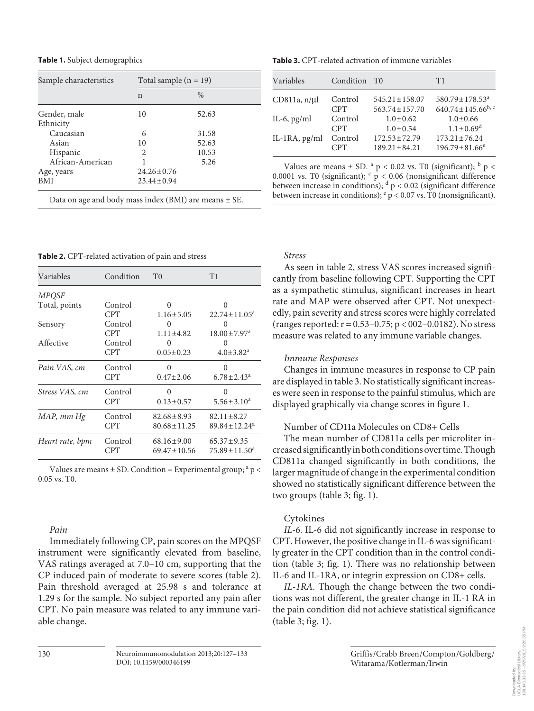**Table 1.** Subject demographics

| Sample characteristics | Total sample $(n = 19)$ |                  |  |
|------------------------|-------------------------|------------------|--|
|                        | n                       | $\frac{0}{0}$    |  |
| Gender, male           | 10                      | 52.63            |  |
| Ethnicity              |                         |                  |  |
| Caucasian              | 6                       | 31.58            |  |
| Asian                  | 10                      | 52.63            |  |
| Hispanic               | $\mathfrak{D}$          | 10.53            |  |
| African-American       |                         | 5.26             |  |
| Age, years             |                         | $24.26 \pm 0.76$ |  |
| RMI                    | $23.44 \pm 0.94$        |                  |  |

Data on age and body mass index (BMI) are means  $\pm$  SE.

**Table 2.** CPT-related activation of pain and stress

| Variables       | Condition  | T <sub>0</sub>    | T1                             |
|-----------------|------------|-------------------|--------------------------------|
| MPQSF           |            |                   |                                |
| Total, points   | Control    | 0                 | 0                              |
|                 | <b>CPT</b> | $1.16 \pm 5.05$   | $22.74 \pm 11.05^a$            |
| Sensory         | Control    | $\Omega$          | 0                              |
|                 | <b>CPT</b> | $1.11 \pm 4.82$   | $18.00 \pm 7.97$ <sup>a</sup>  |
| Affective       | Control    | $\Omega$          | 0                              |
|                 | <b>CPT</b> | $0.05 \pm 0.23$   | $4.0 \pm 3.82$ <sup>a</sup>    |
| Pain VAS, cm    | Control    | U                 |                                |
|                 | <b>CPT</b> | $0.47 \pm 2.06$   | $6.78 \pm 2.43^a$              |
| Stress VAS, cm  | Control    | 0                 | 0                              |
|                 | <b>CPT</b> | $0.13 \pm 0.57$   | $5.56 \pm 3.10^a$              |
| MAP, mm Hg      | Control    | $82.68 \pm 8.93$  | $82.11 \pm 8.27$               |
|                 | <b>CPT</b> | $80.68 \pm 11.25$ | $89.84 \pm 12.24$ <sup>a</sup> |
| Heart rate, bpm | Control    | $68.16 \pm 9.00$  | $65.37 \pm 9.35$               |
|                 | <b>CPT</b> | $69.47 \pm 10.56$ | $75.89 \pm 11.50^a$            |

Values are means  $\pm$  SD. Condition = Experimental group;  $a$  p < 0.05 vs. T0.

## *Pain*

 Immediately following CP, pain scores on the MPQSF instrument were significantly elevated from baseline, VAS ratings averaged at 7.0–10 cm, supporting that the CP induced pain of moderate to severe scores (table 2). Pain threshold averaged at 25.98 s and tolerance at 1.29 s for the sample. No subject reported any pain after CPT. No pain measure was related to any immune variable change.

**Table 3.** CPT-related activation of immune variables

| Variables       | Condition T0 |                     | T1                               |
|-----------------|--------------|---------------------|----------------------------------|
| CD811a, n/µl    | Control      | $545.21 \pm 158.07$ | $580.79 \pm 178.53$ <sup>a</sup> |
|                 | <b>CPT</b>   | $563.74 \pm 157.70$ | $640.74 \pm 145.66^{b,c}$        |
| IL-6, $pg/ml$   | Control      | $1.0 \pm 0.62$      | $1.0 \pm 0.66$                   |
|                 | <b>CPT</b>   | $1.0 \pm 0.54$      | $1.1 \pm 0.69$ <sup>d</sup>      |
| IL-1RA, $pg/ml$ | Control      | $172.53 \pm 72.79$  | $173.21 \pm 76.24$               |
|                 | <b>CPT</b>   | $189.21 \pm 84.21$  | $196.79 \pm 81.66^e$             |
|                 |              |                     |                                  |

Values are means  $\pm$  SD. <sup>a</sup> p < 0.02 vs. T0 (significant); <sup>b</sup> p < 0.0001 vs. T0 (significant);  $c$  p < 0.06 (nonsignificant difference between increase in conditions);  $d$  p < 0.02 (significant difference between increase in conditions);  $e$  p < 0.07 vs. T0 (nonsignificant).

## *Stress*

As seen in table 2, stress VAS scores increased significantly from baseline following CPT. Supporting the CPT as a sympathetic stimulus, significant increases in heart rate and MAP were observed after CPT. Not unexpectedly, pain severity and stress scores were highly correlated (ranges reported:  $r = 0.53 - 0.75$ ;  $p < 002 - 0.0182$ ). No stress measure was related to any immune variable changes.

## *Immune Responses*

 Changes in immune measures in response to CP pain are displayed in table 3 . No statistically significant increases were seen in response to the painful stimulus, which are displayed graphically via change scores in figure 1.

## Number of CD11a Molecules on CD8+ Cells

 The mean number of CD811a cells per microliter increased significantly in both conditions over time. Though CD811a changed significantly in both conditions, the larger magnitude of change in the experimental condition showed no statistically significant difference between the two groups (table 3; fig.  $1$ ).

## Cytokines

*IL-6* . IL-6 did not significantly increase in response to CPT. However, the positive change in IL-6 was significantly greater in the CPT condition than in the control condition (table 3; fig. 1). There was no relationship between IL-6 and IL-1RA, or integrin expression on CD8+ cells.

*IL-1RA.* Though the change between the two conditions was not different, the greater change in IL-1 RA in the pain condition did not achieve statistical significance  $(table 3; fig. 1).$ 

 Griffis /Crabb Breen /Compton /Goldberg / Witarama /Kotlerman /Irwin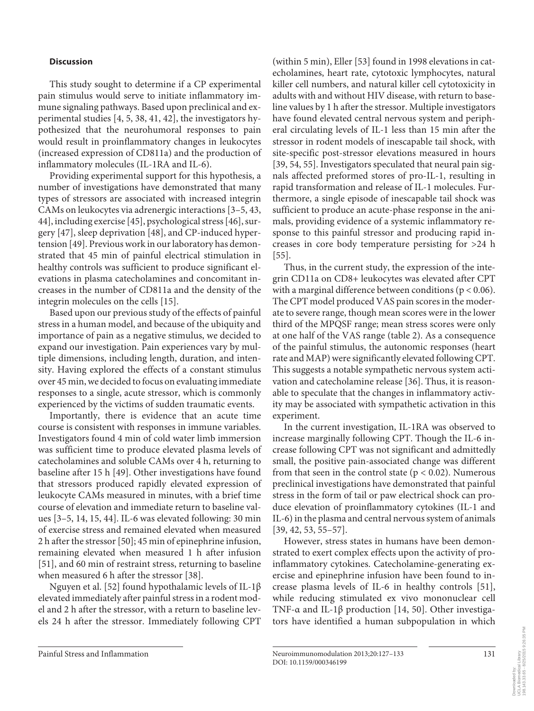#### **Discussion**

 This study sought to determine if a CP experimental pain stimulus would serve to initiate inflammatory immune signaling pathways. Based upon preclinical and experimental studies  $[4, 5, 38, 41, 42]$ , the investigators hypothesized that the neurohumoral responses to pain would result in proinflammatory changes in leukocytes (increased expression of CD811a) and the production of inflammatory molecules (IL-1RA and IL-6).

 Providing experimental support for this hypothesis, a number of investigations have demonstrated that many types of stressors are associated with increased integrin CAMs on leukocytes via adrenergic interactions [3–5, 43, 44], including exercise [45], psychological stress [46], surgery [47] , sleep deprivation [48] , and CP-induced hypertension [49] . Previous work in our laboratory has demonstrated that 45 min of painful electrical stimulation in healthy controls was sufficient to produce significant elevations in plasma catecholamines and concomitant increases in the number of CD811a and the density of the integrin molecules on the cells [15] .

 Based upon our previous study of the effects of painful stress in a human model, and because of the ubiquity and importance of pain as a negative stimulus, we decided to expand our investigation. Pain experiences vary by multiple dimensions, including length, duration, and intensity. Having explored the effects of a constant stimulus over 45 min, we decided to focus on evaluating immediate responses to a single, acute stressor, which is commonly experienced by the victims of sudden traumatic events.

 Importantly, there is evidence that an acute time course is consistent with responses in immune variables. Investigators found 4 min of cold water limb immersion was sufficient time to produce elevated plasma levels of catecholamines and soluble CAMs over 4 h, returning to baseline after 15 h [49]. Other investigations have found that stressors produced rapidly elevated expression of leukocyte CAMs measured in minutes, with a brief time course of elevation and immediate return to baseline values [3–5, 14, 15, 44] . IL-6 was elevated following: 30 min of exercise stress and remained elevated when measured 2 h after the stressor [50]; 45 min of epinephrine infusion, remaining elevated when measured 1 h after infusion [51], and 60 min of restraint stress, returning to baseline when measured 6 h after the stressor [38].

 Nguyen et al. [52] found hypothalamic levels of IL-1β elevated immediately after painful stress in a rodent model and 2 h after the stressor, with a return to baseline levels 24 h after the stressor. Immediately following CPT (within 5 min), Eller [53] found in 1998 elevations in catecholamines, heart rate, cytotoxic lymphocytes, natural killer cell numbers, and natural killer cell cytotoxicity in adults with and without HIV disease, with return to baseline values by 1 h after the stressor. Multiple investigators have found elevated central nervous system and peripheral circulating levels of IL-1 less than 15 min after the stressor in rodent models of inescapable tail shock, with site-specific post-stressor elevations measured in hours [39, 54, 55]. Investigators speculated that neural pain signals affected preformed stores of pro-IL-1, resulting in rapid transformation and release of IL-1 molecules. Furthermore, a single episode of inescapable tail shock was sufficient to produce an acute-phase response in the animals, providing evidence of a systemic inflammatory response to this painful stressor and producing rapid increases in core body temperature persisting for >24 h  $[55]$ .

 Thus, in the current study, the expression of the integrin CD11a on CD8+ leukocytes was elevated after CPT with a marginal difference between conditions ( $p < 0.06$ ). The CPT model produced VAS pain scores in the moderate to severe range, though mean scores were in the lower third of the MPQSF range; mean stress scores were only at one half of the VAS range (table 2). As a consequence of the painful stimulus, the autonomic responses (heart rate and MAP) were significantly elevated following CPT. This suggests a notable sympathetic nervous system activation and catecholamine release [36]. Thus, it is reasonable to speculate that the changes in inflammatory activity may be associated with sympathetic activation in this experiment.

 In the current investigation, IL-1RA was observed to increase marginally following CPT. Though the IL-6 increase following CPT was not significant and admittedly small, the positive pain-associated change was different from that seen in the control state ( $p < 0.02$ ). Numerous preclinical investigations have demonstrated that painful stress in the form of tail or paw electrical shock can produce elevation of proinflammatory cytokines (IL-1 and IL-6) in the plasma and central nervous system of animals [39, 42, 53, 55–57] .

 However, stress states in humans have been demonstrated to exert complex effects upon the activity of proinflammatory cytokines. Catecholamine-generating exercise and epinephrine infusion have been found to increase plasma levels of IL-6 in healthy controls [51] , while reducing stimulated ex vivo mononuclear cell TNF- $\alpha$  and IL-1 $\beta$  production [14, 50]. Other investigators have identified a human subpopulation in which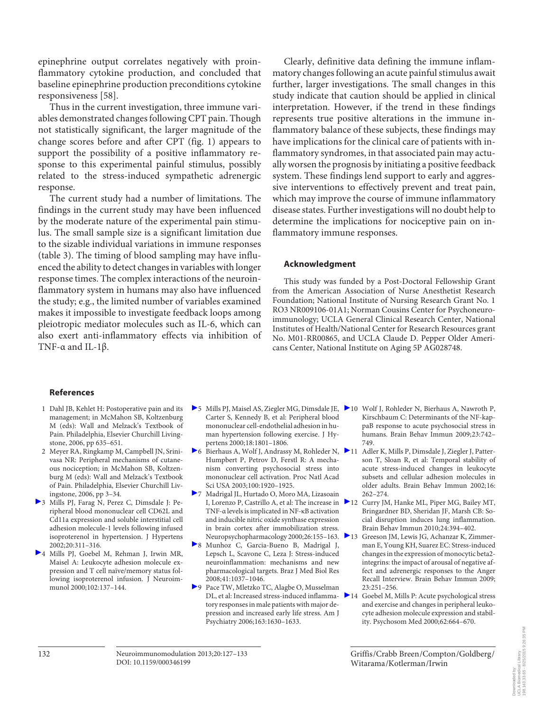epinephrine output correlates negatively with proinflammatory cytokine production, and concluded that baseline epinephrine production preconditions cytokine responsiveness [58] .

 Thus in the current investigation, three immune variables demonstrated changes following CPT pain. Though not statistically significant, the larger magnitude of the change scores before and after CPT (fig. 1) appears to support the possibility of a positive inflammatory response to this experimental painful stimulus, possibly related to the stress-induced sympathetic adrenergic response.

 The current study had a number of limitations. The findings in the current study may have been influenced by the moderate nature of the experimental pain stimulus. The small sample size is a significant limitation due to the sizable individual variations in immune responses (table 3). The timing of blood sampling may have influenced the ability to detect changes in variables with longer response times. The complex interactions of the neuroinflammatory system in humans may also have influenced the study; e.g., the limited number of variables examined makes it impossible to investigate feedback loops among pleiotropic mediator molecules such as IL-6, which can also exert anti-inflammatory effects via inhibition of TNF-α and IL-1β.

 Clearly, definitive data defining the immune inflammatory changes following an acute painful stimulus await further, larger investigations. The small changes in this study indicate that caution should be applied in clinical interpretation. However, if the trend in these findings represents true positive alterations in the immune inflammatory balance of these subjects, these findings may have implications for the clinical care of patients with inflammatory syndromes, in that associated pain may actually worsen the prognosis by initiating a positive feedback system. These findings lend support to early and aggressive interventions to effectively prevent and treat pain, which may improve the course of immune inflammatory disease states. Further investigations will no doubt help to determine the implications for nociceptive pain on inflammatory immune responses.

## **Acknowledgment**

 This study was funded by a Post-Doctoral Fellowship Grant from the American Association of Nurse Anesthetist Research Foundation; National Institute of Nursing Research Grant No. 1 RO3 NR009106-01A1; Norman Cousins Center for Psychoneuroimmunology; UCLA General Clinical Research Center, National Institutes of Health/National Center for Research Resources grant No. M01-RR00865, and UCLA Claude D. Pepper Older Americans Center, National Institute on Aging 5P AG028748.

#### **References**

- 1 Dahl JB, Kehlet H: Postoperative pain and its management; in McMahon SB, Koltzenburg M (eds): Wall and Melzack's Textbook of Pain. Philadelphia, Elsevier Churchill Livingstone, 2006, pp 635–651.
- 2 Meyer RA, Ringkamp M, Campbell JN, Srinivasa NR: Peripheral mechanisms of cutaneous nociception; in McMahon SB, Koltzenburg M (eds): Wall and Melzack's Textbook of Pain. Philadelphia, Elsevier Churchill Livingstone, 2006, pp 3–34.
- 3 Mills PJ, Farag N, Perez C, Dimsdale J: Peripheral blood mononuclear cell CD62L and Cd11a expression and soluble interstitial cell adhesion molecule-1 levels following infused isoproterenol in hypertension. J Hypertens 2002;20:311–316.
- 4 Mills PJ, Goebel M, Rehman J, Irwin MR, Maisel A: Leukocyte adhesion molecule expression and T cell naïve/memory status following isoproterenol infusion. J Neuroimmunol 2000;102:137–144.
- 5 Mills PJ, Maisel AS, Ziegler MG, Dimsdale JE, 10 Wolf J, Rohleder N, Bierhaus A, Nawroth P, Carter S, Kennedy B, et al: Peripheral blood mononuclear cell-endothelial adhesion in human hypertension following exercise. J Hypertens 2000;18:1801–1806.
- 6 Bierhaus A, Wolf J, Andrassy M, Rohleder N, 11 Adler K, Mills P, Dimsdale J, Ziegler J, Patter-Humpbert P, Petrov D, Ferstl R: A mechanism converting psychosocial stress into mononuclear cell activation. Proc Natl Acad Sci USA 2003;100:1920–1925.
- 7 Madrigal JL, Hurtado O, Moro MA, Lizasoain I, Lorenzo P, Castrillo A, et al: The increase in TNF-α levels is implicated in NF-κB activation and inducible nitric oxide synthase expression in brain cortex after immobilization stress.
- 8 Munhoz C, Garcia-Bueno B, Madrigal J, Lepsch L, Scavone C, Leza J: Stress-induced neuroinflammation: mechanisms and new pharmacological targets. Braz J Med Biol Res 2008;41:1037–1046.
- 9 Pace TW, Mletzko TC, Alagbe O, Musselman DL, et al: Increased stress-induced inflammatory responses in male patients with major depression and increased early life stress. Am J Psychiatry 2006;163:1630–1633.
- Kirschbaum C: Determinants of the NF-kappaB response to acute psychosocial stress in humans. Brain Behav Immun 2009;23:742– 749.
- son T, Sloan R, et al: Temporal stability of acute stress-induced changes in leukocyte subsets and cellular adhesion molecules in older adults. Brain Behav Immun 2002;16: 262–274.
- Curry JM, Hanke ML, Piper MG, Bailey MT, Bringardner BD, Sheridan JF, Marsh CB: Social disruption induces lung inflammation. Brain Behav Immun 2010;24:394–402.
- Neuropsychopharmacology 2000;26:155–163. 13 Greeson JM, Lewis JG, Achanzar K, Zimmerman E, Young KH, Suarez EC: Stress-induced changes in the expression of monocytic beta2 integrins: the impact of arousal of negative affect and adrenergic responses to the Anger Recall Interview. Brain Behav Immun 2009; 23:251–256.
	- 14 Goebel M, Mills P: Acute psychological stress and exercise and changes in peripheral leukocyte adhesion molecule expression and stability. Psychosom Med 2000;62:664–670.